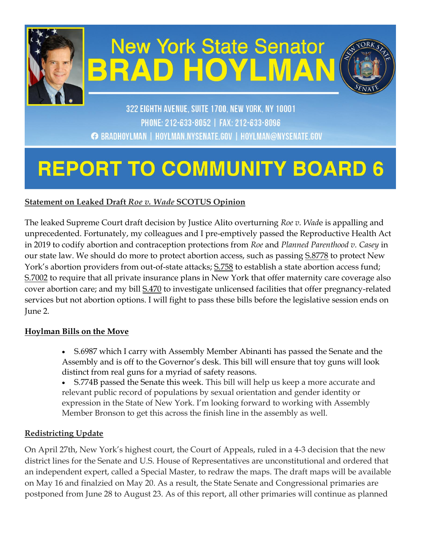

# **New York State Senator BRAD HOYLMAN**



322 EIGHTH AVENUE, SUITE 1700, NEW YORK, NY 10001 PHONE: 212-633-8052 | FAX: 212-633-8096 ← BRADHOYLMAN | HOYLMAN.NYSENATE.GOV | HOYLMAN@NYSENATE.GOV

# **REPORT TO COMMUNITY BOARD 6**

# **Statement on Leaked Draft** *Roe v. Wade* **SCOTUS Opinion**

The leaked Supreme Court draft decision by Justice Alito overturning *Roe v. Wad*e is appalling and unprecedented. Fortunately, my colleagues and I pre-emptively passed the Reproductive Health Act in 2019 to codify abortion and contraception protections from *Roe* and *Planned Parenthood v. Casey* in our state law. We should do more to protect abortion access, such as passing  $\S$ .8778 to protect New York's abortion providers from out-of-state attacks;  $S.758$  to establish a state abortion access fund; [S.7002](http://email.sts.nysenate.gov/ls/click?upn=-2FUeB4rNcocRHNJExEbkInvOb6oWSUvRuIupYcYEYfVqnPJ-2F4H4UJOXF5TKOSzNccVS9x9MB1mN3jHryRCmyMvA-3D-3DiZYE_1xJkczsvBPdQD6xF8alGKuZtnlt3QD2zIj3MTFYO0QZL1JUB-2BpE5zghHvltQuCDwvQofnr237-2BOhuFtd0sQgbbOaknfMdQ36v-2BTIjsthsgQM8HQLkrnu5IbhZa9-2BNWCdJlECyOmeOVknIh-2Fa6I4yGwrD-2Fxkedi9DfEs8aOVgLi7M9Ef4hdlsQ-2F2wkiMaVd7GW7mI-2FRre-2FpYhhPUELieG8FEWNzt1BLIcr2oYrG920z0KI2wezrT0l6R2-2Bt3qWNrSKXiz4LHYPnd0bhCnFONV6CN9NGUfkJCv62ysHSnZIq4HkKMfbmbqP6U4VlJZOhgvVpklGIB6KBsgPIGqTV17iwrMR8UqaOvDgAVhN6a54P-2FP6OUw47Ntn3AdurM1ilBqdrp9A0Dt-2Bpu0mtOtz5jPQBJ-2F9fOs2VbjuBt8HDbe1W-2BuFiyBhRqzz45ZIPVpFKXmtagGxo0rfDu7XGY8xxVqcJUjEI3R9hEk-2FlJAhJ6K-2F35wo9U2gR65pHqW-2F6Jt-2BqsG) to require that all private insurance plans in New York that offer maternity care coverage also cover abortion care; and my bill [S.470](http://email.sts.nysenate.gov/ls/click?upn=-2FUeB4rNcocRHNJExEbkInvOb6oWSUvRuIupYcYEYfVqnPJ-2F4H4UJOXF5TKOSzNccmmIfabtx6XZct12bZK4FJA-3D-3D8Um8_1xJkczsvBPdQD6xF8alGKuZtnlt3QD2zIj3MTFYO0QZL1JUB-2BpE5zghHvltQuCDwvQofnr237-2BOhuFtd0sQgbbOaknfMdQ36v-2BTIjsthsgQM8HQLkrnu5IbhZa9-2BNWCdJlECyOmeOVknIh-2Fa6I4yGwrD-2Fxkedi9DfEs8aOVgLi7M9Ef4hdlsQ-2F2wkiMaVd7GW7mI-2FRre-2FpYhhPUELieG8FEWNzt1BLIcr2oYrG920z0KI2wezrT0l6R2-2Bt3qWNrSKXiz4LHYPnd0bhCnFONV6CN9NGUfkJCv62ysHSnZIq5yYVVOhLQPcHizsgMVueVvieZmAnA-2FmwXFeVMW0YMGl89uq-2FmfzCAkZZzSTEe1h6ACJx-2FGk5xSQ3N9qYKv5jSvObtcawk7F3iTGGyd09fzYHJjivrwBKd2uq7TrLXUIyS69QoTzq0N84-2BL-2BxMcvCdSda3FxtSj-2FiuOGcVBBBjqKbFX9ZMpD4q-2BOp4UWf2eGoormsecwClIswHSYto097TB) to investigate unlicensed facilities that offer pregnancy-related services but not abortion options. I will fight to pass these bills before the legislative session ends on June 2.

#### **Hoylman Bills on the Move**

- S.6987 which I carry with Assembly Member Abinanti has passed the Senate and the Assembly and is off to the Governor's desk. This bill will ensure that toy guns will look distinct from real guns for a myriad of safety reasons.
- S.774B passed the Senate this week. This bill will help us keep a more accurate and relevant public record of populations by sexual orientation and gender identity or expression in the State of New York. I'm looking forward to working with Assembly Member Bronson to get this across the finish line in the assembly as well.

#### **Redistricting Update**

On April 27th, New York's highest court, the Court of Appeals, ruled in a 4-3 decision that the new district lines for the Senate and U.S. House of Representatives are unconstitutional and ordered that an independent expert, called a Special Master, to redraw the maps. The draft maps will be available on May 16 and finalzied on May 20. As a result, the State Senate and Congressional primaries are postponed from June 28 to August 23. As of this report, all other primaries will continue as planned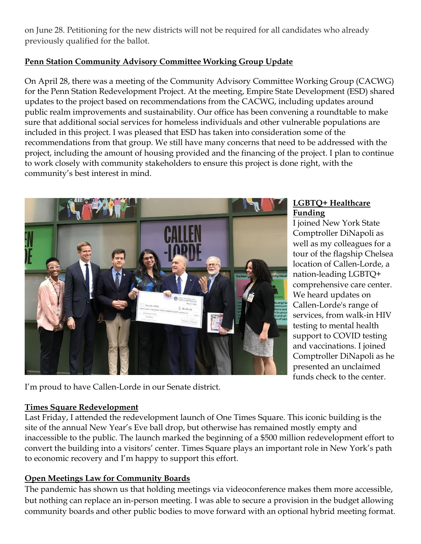on June 28. Petitioning for the new districts will not be required for all candidates who already previously qualified for the ballot.

#### **Penn Station Community Advisory Committee Working Group Update**

On April 28, there was a meeting of the Community Advisory Committee Working Group (CACWG) for the Penn Station Redevelopment Project. At the meeting, Empire State Development (ESD) shared updates to the project based on recommendations from the CACWG, including updates around public realm improvements and sustainability. Our office has been convening a roundtable to make sure that additional social services for homeless individuals and other vulnerable populations are included in this project. I was pleased that ESD has taken into consideration some of the recommendations from that group. We still have many concerns that need to be addressed with the project, including the amount of housing provided and the financing of the project. I plan to continue to work closely with community stakeholders to ensure this project is done right, with the community's best interest in mind.



#### **LGBTQ+ Healthcare Funding**

I joined New York State Comptroller DiNapoli as well as my colleagues for a tour of the flagship Chelsea location of Callen-Lorde, a nation-leading LGBTQ+ comprehensive care center. We heard updates on Callen-Lorde's range of services, from walk-in HIV testing to mental health support to COVID testing and vaccinations. I joined Comptroller DiNapoli as he presented an unclaimed funds check to the center.

I'm proud to have Callen-Lorde in our Senate district.

#### **Times Square Redevelopment**

Last Friday, I attended the redevelopment launch of One Times Square. This iconic building is the site of the annual New Year's Eve ball drop, but otherwise has remained mostly empty and inaccessible to the public. The launch marked the beginning of a \$500 million redevelopment effort to convert the building into a visitors' center. Times Square plays an important role in New York's path to economic recovery and I'm happy to support this effort.

# **Open Meetings Law for Community Boards**

The pandemic has shown us that holding meetings via videoconference makes them more accessible, but nothing can replace an in-person meeting. I was able to secure a provision in the budget allowing community boards and other public bodies to move forward with an optional hybrid meeting format.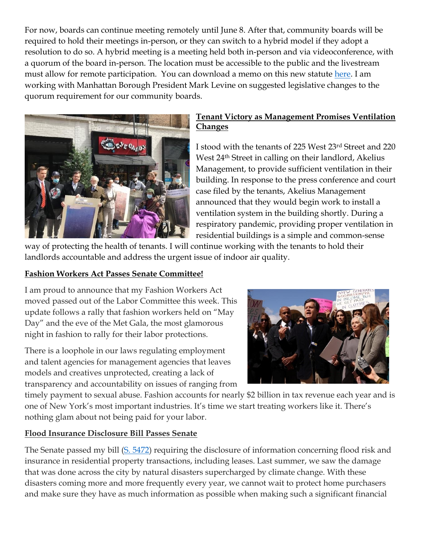For now, boards can continue meeting remotely until June 8. After that, community boards will be required to hold their meetings in-person, or they can switch to a hybrid model if they adopt a resolution to do so. A hybrid meeting is a meeting held both in-person and via videoconference, with a quorum of the board in-person. The location must be accessible to the public and the livestream must allow for remote participation. You can download a memo on this new statute [here.](https://opengovernment.ny.gov/system/files/documents/2022/04/chapter-56-of-the-laws-of-2022-guidance-document-4-15-22.pdf) I am working with Manhattan Borough President Mark Levine on suggested legislative changes to the quorum requirement for our community boards.



#### **Tenant Victory as Management Promises Ventilation Changes**

I stood with the tenants of 225 West 23rd Street and 220 West 24th Street in calling on their landlord, Akelius Management, to provide sufficient ventilation in their building. In response to the press conference and court case filed by the tenants, Akelius Management announced that they would begin work to install a ventilation system in the building shortly. During a respiratory pandemic, providing proper ventilation in residential buildings is a simple and common-sense

way of protecting the health of tenants. I will continue working with the tenants to hold their landlords accountable and address the urgent issue of indoor air quality.

#### **Fashion Workers Act Passes Senate Committee!**

I am proud to announce that my Fashion Workers Act moved passed out of the Labor Committee this week. This update follows a rally that fashion workers held on "May Day" and the eve of the Met Gala, the most glamorous night in fashion to rally for their labor protections.

There is a loophole in our laws regulating employment and talent agencies for management agencies that leaves models and creatives unprotected, creating a lack of transparency and accountability on issues of ranging from



timely payment to sexual abuse. Fashion accounts for nearly \$2 billion in tax revenue each year and is one of New York's most important industries. It's time we start treating workers like it. There's nothing glam about not being paid for your labor.

#### **Flood Insurance Disclosure Bill Passes Senate**

The Senate passed my bill [\(S. 5472\)](https://www.nysenate.gov/legislation/bills/2021/S5472) requiring the disclosure of information concerning flood risk and insurance in residential property transactions, including leases. Last summer, we saw the damage that was done across the city by natural disasters supercharged by climate change. With these disasters coming more and more frequently every year, we cannot wait to protect home purchasers and make sure they have as much information as possible when making such a significant financial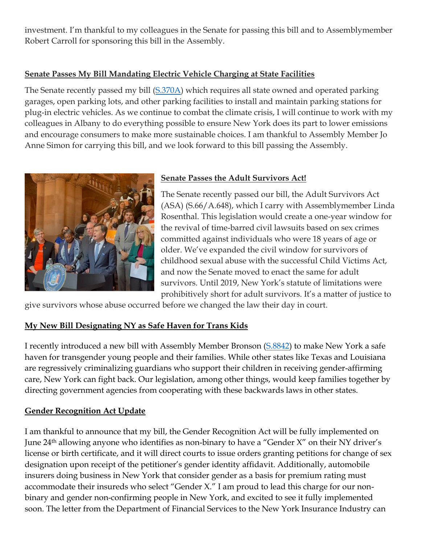investment. I'm thankful to my colleagues in the Senate for passing this bill and to Assemblymember Robert Carroll for sponsoring this bill in the Assembly.

#### **Senate Passes My Bill Mandating Electric Vehicle Charging at State Facilities**

The Senate recently passed my bill [\(S.370A\)](https://www.nysenate.gov/legislation/bills/2021/S370) which requires all state owned and operated parking garages, open parking lots, and other parking facilities to install and maintain parking stations for plug-in electric vehicles. As we continue to combat the climate crisis, I will continue to work with my colleagues in Albany to do everything possible to ensure New York does its part to lower emissions and encourage consumers to make more sustainable choices. I am thankful to Assembly Member Jo Anne Simon for carrying this bill, and we look forward to this bill passing the Assembly.



#### **Senate Passes the Adult Survivors Act!**

The Senate recently passed our bill, the Adult Survivors Act (ASA) (S.66/A.648), which I carry with Assemblymember Linda Rosenthal. This legislation would create a one-year window for the revival of time-barred civil lawsuits based on sex crimes committed against individuals who were 18 years of age or older. We've expanded the civil window for survivors of childhood sexual abuse with the successful Child Victims Act, and now the Senate moved to enact the same for adult survivors. Until 2019, New York's statute of limitations were prohibitively short for adult survivors. It's a matter of justice to

give survivors whose abuse occurred before we changed the law their day in court.

# **My New Bill Designating NY as Safe Haven for Trans Kids**

I recently introduced a new bill with Assembly Member Bronson [\(S.8842\)](https://www.nysenate.gov/legislation/bills/2021/s8842) to make New York a safe haven for transgender young people and their families. While other states like Texas and Louisiana are regressively criminalizing guardians who support their children in receiving gender-affirming care, New York can fight back. Our legislation, among other things, would keep families together by directing government agencies from cooperating with these backwards laws in other states.

#### **Gender Recognition Act Update**

I am thankful to announce that my bill, the Gender Recognition Act will be fully implemented on June 24th allowing anyone who identifies as non-binary to have a "Gender X" on their NY driver's license or birth certificate, and it will direct courts to issue orders granting petitions for change of sex designation upon receipt of the petitioner's gender identity affidavit. Additionally, automobile insurers doing business in New York that consider gender as a basis for premium rating must accommodate their insureds who select "Gender X." I am proud to lead this charge for our nonbinary and gender non-confirming people in New York, and excited to see it fully implemented soon. The letter from the Department of Financial Services to the New York Insurance Industry can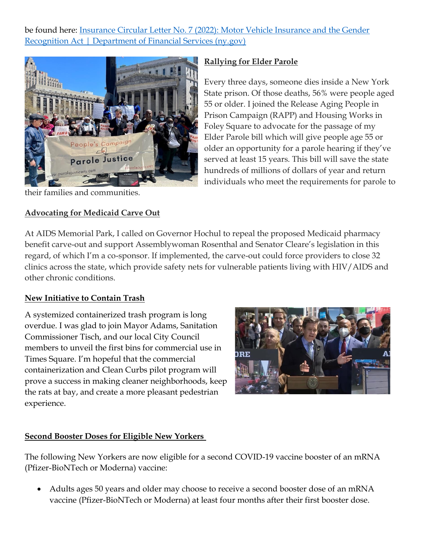be found here: [Insurance Circular Letter No. 7 \(2022\): Motor Vehicle Insurance and the Gender](https://www.dfs.ny.gov/industry_guidance/circular_letters/cl2022_07)  [Recognition Act | Department of Financial Services \(ny.gov\)](https://www.dfs.ny.gov/industry_guidance/circular_letters/cl2022_07)



their families and communities.

#### **Advocating for Medicaid Carve Out**

#### **Rallying for Elder Parole**

Every three days, someone dies inside a New York State prison. Of those deaths, 56% were people aged 55 or older. I joined the Release Aging People in Prison Campaign (RAPP) and Housing Works in Foley Square to advocate for the passage of my Elder Parole bill which will give people age 55 or older an opportunity for a parole hearing if they've served at least 15 years. This bill will save the state hundreds of millions of dollars of year and return individuals who meet the requirements for parole to

At AIDS Memorial Park, I called on Governor Hochul to repeal the proposed Medicaid pharmacy benefit carve-out and support Assemblywoman Rosenthal and Senator Cleare's legislation in this regard, of which I'm a co-sponsor. If implemented, the carve-out could force providers to close 32 clinics across the state, which provide safety nets for vulnerable patients living with HIV/AIDS and other chronic conditions.

#### **New Initiative to Contain Trash**

A systemized containerized trash program is long overdue. I was glad to join Mayor Adams, Sanitation Commissioner Tisch, and our local City Council members to unveil the first bins for commercial use in Times Square. I'm hopeful that the commercial containerization and Clean Curbs pilot program will prove a success in making cleaner neighborhoods, keep the rats at bay, and create a more pleasant pedestrian experience.



# **Second Booster Doses for Eligible New Yorkers**

The following New Yorkers are now eligible for a second COVID-19 vaccine booster of an mRNA (Pfizer-BioNTech or Moderna) vaccine:

• Adults ages 50 years and older may choose to receive a second booster dose of an mRNA vaccine (Pfizer-BioNTech or Moderna) at least four months after their first booster dose.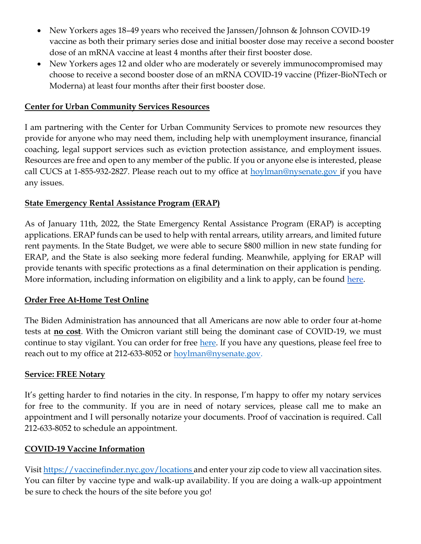- New Yorkers ages 18–49 years who received the Janssen/Johnson & Johnson COVID-19 vaccine as both their primary series dose and initial booster dose may receive a second booster dose of an mRNA vaccine at least 4 months after their first booster dose.
- New Yorkers ages 12 and older who are moderately or severely immunocompromised may choose to receive a second booster dose of an mRNA COVID-19 vaccine (Pfizer-BioNTech or Moderna) at least four months after their first booster dose.

#### **Center for Urban Community Services Resources**

I am partnering with the Center for Urban Community Services to promote new resources they provide for anyone who may need them, including help with unemployment insurance, financial coaching, legal support services such as eviction protection assistance, and employment issues. Resources are free and open to any member of the public. If you or anyone else is interested, please call CUCS at 1-855-932-2827. Please reach out to my office at [hoylman@nysenate.gov](mailto:hoylman@nysenate.gov) if you have any issues.

#### **State Emergency Rental Assistance Program (ERAP)**

As of January 11th, 2022, the State Emergency Rental Assistance Program (ERAP) is accepting applications. ERAP funds can be used to help with rental arrears, utility arrears, and limited future rent payments. In the State Budget, we were able to secure \$800 million in new state funding for ERAP, and the State is also seeking more federal funding. Meanwhile, applying for ERAP will provide tenants with specific protections as a final determination on their application is pending. More information, including information on eligibility and a link to apply, can be found here.

#### **Order Free At-Home Test Online**

The Biden Administration has announced that all Americans are now able to order four at-home tests at **no cost**. With the Omicron variant still being the dominant case of COVID-19, we must continue to stay vigilant. You can order for free here. If you have any questions, please feel free to reach out to my office at 212-633-8052 or [hoylman@nysenate.gov.](mailto:hoylman@nysenate.gov)

#### **Service: FREE Notary**

It's getting harder to find notaries in the city. In response, I'm happy to offer my notary services for free to the community. If you are in need of notary services, please call me to make an appointment and I will personally notarize your documents. Proof of vaccination is required. Call 212-633-8052 to schedule an appointment.

#### **COVID-19 Vaccine Information**

Visit<https://vaccinefinder.nyc.gov/locations> and enter your zip code to view all vaccination sites. You can filter by vaccine type and walk-up availability. If you are doing a walk-up appointment be sure to check the hours of the site before you go!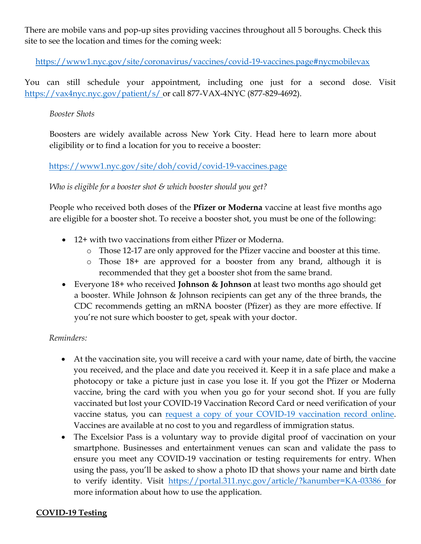There are mobile vans and pop-up sites providing vaccines throughout all 5 boroughs. Check this site to see the location and times for the coming week:

<https://www1.nyc.gov/site/coronavirus/vaccines/covid-19-vaccines.page#nycmobilevax>

You can still schedule your appointment, including one just for a second dose. Visit <https://vax4nyc.nyc.gov/patient/s/> or call 877-VAX-4NYC (877-829-4692).

#### *Booster Shots*

Boosters are widely available across New York City. Head here to learn more about eligibility or to find a location for you to receive a booster:

#### <https://www1.nyc.gov/site/doh/covid/covid-19-vaccines.page>

#### *Who is eligible for a booster shot & which booster should you get?*

People who received both doses of the **Pfizer or Moderna** vaccine at least five months ago are eligible for a booster shot. To receive a booster shot, you must be one of the following:

- 12+ with two vaccinations from either Pfizer or Moderna.
	- o Those 12-17 are only approved for the Pfizer vaccine and booster at this time.
	- o Those 18+ are approved for a booster from any brand, although it is recommended that they get a booster shot from the same brand.
- Everyone 18+ who received **Johnson & Johnson** at least two months ago should get a booster. While Johnson & Johnson recipients can get any of the three brands, the CDC recommends getting an mRNA booster (Pfizer) as they are more effective. If you're not sure which booster to get, speak with your doctor.

#### *Reminders:*

- At the vaccination site, you will receive a card with your name, date of birth, the vaccine you received, and the place and date you received it. Keep it in a safe place and make a photocopy or take a picture just in case you lose it. If you got the Pfizer or Moderna vaccine, bring the card with you when you go for your second shot. If you are fully vaccinated but lost your COVID-19 Vaccination Record Card or need verification of your vaccine status, you can request a copy of your COVID-19 vaccination record online. Vaccines are available at no cost to you and regardless of immigration status.
- The Excelsior Pass is a voluntary way to provide digital proof of vaccination on your smartphone. Businesses and entertainment venues can scan and validate the pass to ensure you meet any COVID-19 vaccination or testing requirements for entry. When using the pass, you'll be asked to show a photo ID that shows your name and birth date to verify identity. Visit <https://portal.311.nyc.gov/article/?kanumber=KA-03386> for more information about how to use the application.

#### **COVID-19 Testing**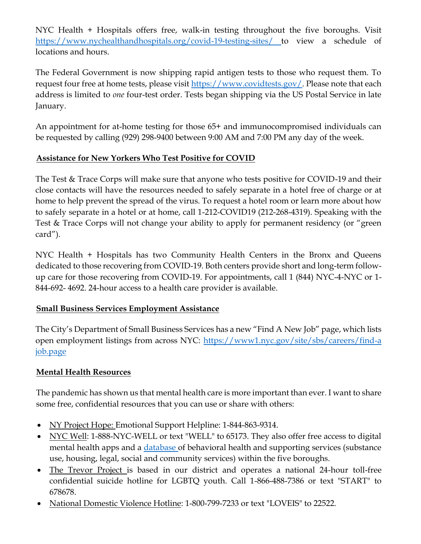NYC Health + Hospitals offers free, walk-in testing throughout the five boroughs. Visit <https://www.nychealthandhospitals.org/covid-19-testing-sites/> to view a schedule of locations and hours.

The Federal Government is now shipping rapid antigen tests to those who request them. To request four free at home tests, please visit [https://www.covidtests.gov/.](https://www.covidtests.gov/) Please note that each address is limited to *one* four-test order. Tests began shipping via the US Postal Service in late January.

An appointment for at-home testing for those 65+ and immunocompromised individuals can be requested by calling (929) 298-9400 between 9:00 AM and 7:00 PM any day of the week.

#### **Assistance for New Yorkers Who Test Positive for COVID**

The Test & Trace Corps will make sure that anyone who tests positive for COVID-19 and their close contacts will have the resources needed to safely separate in a hotel free of charge or at home to help prevent the spread of the virus. To request a hotel room or learn more about how to safely separate in a hotel or at home, call 1-212-COVID19 (212-268-4319). Speaking with the Test & Trace Corps will not change your ability to apply for permanent residency (or "green card").

NYC Health + Hospitals has two Community Health Centers in the Bronx and Queens dedicated to those recovering from COVID-19. Both centers provide short and long-term followup care for those recovering from COVID-19. For appointments, call 1 (844) NYC-4-NYC or 1- 844-692- 4692. 24-hour access to a health care provider is available.

#### **Small Business Services Employment Assistance**

The City's Department of Small Business Services has a new "Find A New Job" page, which lists open employment listings from across NYC:<https://www1.nyc.gov/site/sbs/careers/find-a> job.page

# **Mental Health Resources**

The pandemic has shown us that mental health care is more important than ever. I want to share some free, confidential resources that you can use or share with others:

- NY Project Hope: Emotional Support Helpline: 1-844-863-9314.
- NYC Well: 1-888-NYC-WELL or text "WELL" to 65173. They also offer free access to digital mental health apps and a database of behavioral health and supporting services (substance use, housing, legal, social and community services) within the five boroughs.
- The Trevor Project is based in our district and operates a national 24-hour toll-free confidential suicide hotline for LGBTQ youth. Call 1-866-488-7386 or text "START" to 678678.
- National Domestic Violence Hotline: 1-800-799-7233 or text "LOVEIS" to 22522.